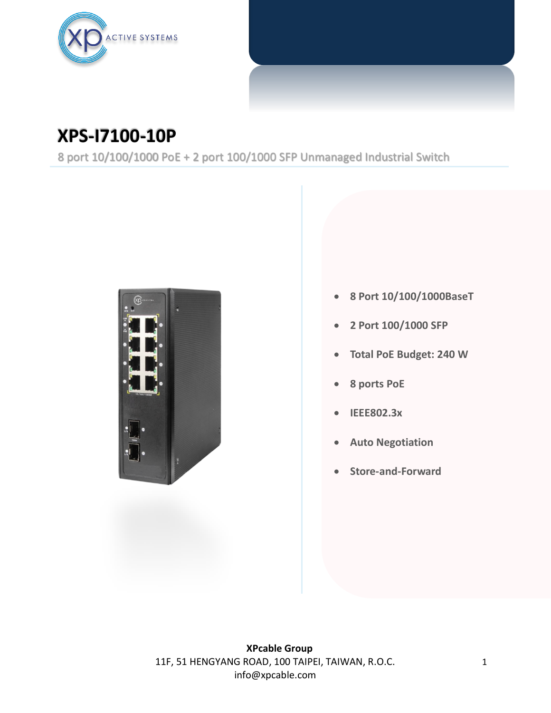

## **XPS-I7100-10P**

8 port 10/100/1000 PoE + 2 port 100/1000 SFP Unmanaged Industrial Switch



- **8 Port 10/100/1000BaseT**
- **2 Port 100/1000 SFP**
- **Total PoE Budget: 240 W**
- **8 ports PoE**
- **IEEE802.3x**
- **Auto Negotiation**
- **Store-and-Forward**